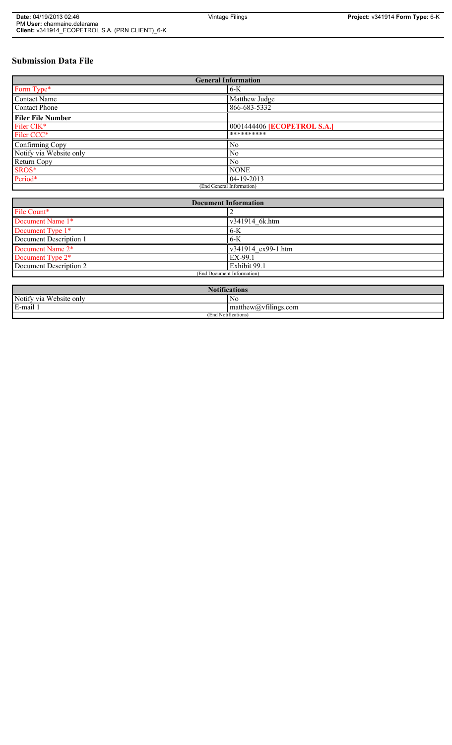# **Submission Data File**

| <b>General Information</b> |                                    |
|----------------------------|------------------------------------|
| Form Type*                 | $6-K$                              |
| <b>Contact Name</b>        | Matthew Judge                      |
| <b>Contact Phone</b>       | 866-683-5332                       |
| <b>Filer File Number</b>   |                                    |
| Filer CIK*                 | 0001444406 <b>[ECOPETROL S.A.]</b> |
| Filer CCC*                 | **********                         |
| Confirming Copy            | N <sub>0</sub>                     |
| Notify via Website only    | N <sub>0</sub>                     |
| Return Copy                | N <sub>0</sub>                     |
| SROS*                      | <b>NONE</b>                        |
| Period*                    | $04-19-2013$                       |
| (End General Information)  |                                    |

| <b>Document Information</b> |                    |
|-----------------------------|--------------------|
| File Count*                 |                    |
| Document Name 1*            | v341914 6k.htm     |
| Document Type 1*            | $6-K$              |
| Document Description 1      | $6-K$              |
| Document Name 2*            | v341914 ex99-1.htm |
| Document Type 2*            | EX-99.1            |
| Document Description 2      | Exhibit 99.1       |
| (End Document Information)  |                    |
|                             |                    |
| <b>Notifications</b>        |                    |

| <b>EVOLHICATIONS</b>                    |                                           |  |
|-----------------------------------------|-------------------------------------------|--|
| Notify via<br>T T<br>ebsite only/<br>W  | N0                                        |  |
| E-mail                                  | $-$<br>' matthew( <i>a</i> ) vtilings.com |  |
| (End<br>$\sim$ $\sim$<br>Notifications, |                                           |  |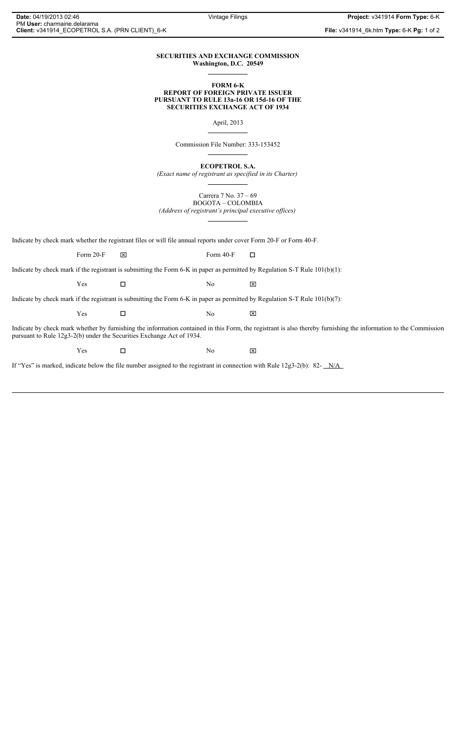#### **SECURITIES AND EXCHANGE COMMISSION Washington, D.C. 20549**

#### **FORM 6-K REPORT OF FOREIGN PRIVATE ISSUER PURSUANT TO RULE 13a-16 OR 15d-16 OF THE SECURITIES EXCHANGE ACT OF 1934**

April, 2013

Commission File Number: 333-153452

**ECOPETROL S.A.**

*(Exact name of registrant as specified in its Charter)*

Carrera 7 No. 37 – 69 BOGOTA – COLOMBIA

*(Address of registrant's principal executive offices)*

Indicate by check mark whether the registrant files or will file annual reports under cover Form 20-F or Form 40-F.

Form 20-F  $\boxtimes$  Form 40-F  $\Box$ 

Indicate by check mark if the registrant is submitting the Form 6-K in paper as permitted by Regulation S-T Rule 101(b)(1):

 $Yes$   $\Box$   $No$   $X$ 

Indicate by check mark if the registrant is submitting the Form 6-K in paper as permitted by Regulation S-T Rule 101(b)(7):

 $Yes$   $\square$ 

Indicate by check mark whether by furnishing the information contained in this Form, the registrant is also thereby furnishing the information to the Commission pursuant to Rule 12g3-2(b) under the Securities Exchange Act of 1934.

 $Yes$   $\Box$ 

If "Yes" is marked, indicate below the file number assigned to the registrant in connection with Rule 12g3-2(b): 82- N/A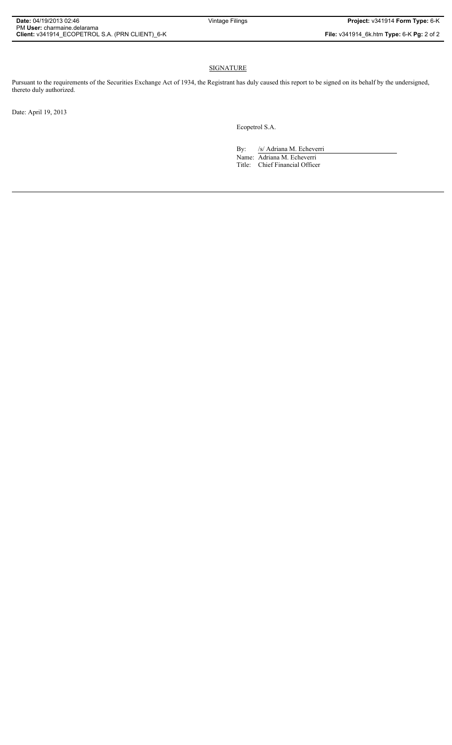# SIGNATURE

Pursuant to the requirements of the Securities Exchange Act of 1934, the Registrant has duly caused this report to be signed on its behalf by the undersigned, thereto duly authorized.

Date: April 19, 2013

Ecopetrol S.A.

By: /s/ Adriana M. Echeverri Name: Adriana M. Echeverri Title: Chief Financial Officer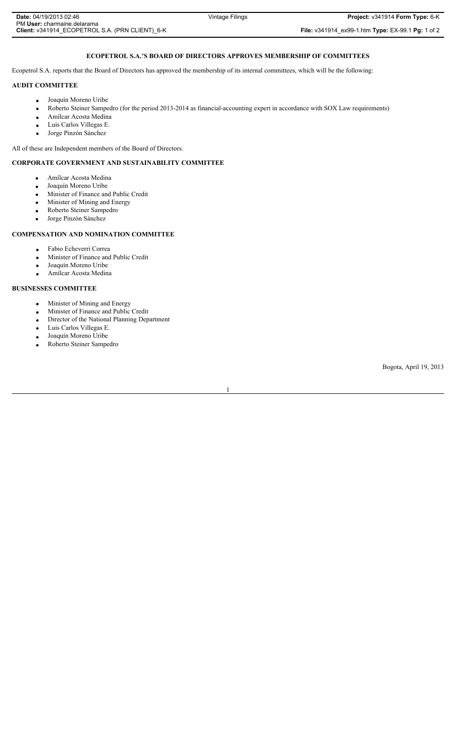## **ECOPETROL S.A.'S BOARD OF DIRECTORS APPROVES MEMBERSHIP OF COMMITTEES**

Ecopetrol S.A. reports that the Board of Directors has approved the membership of its internal committees, which will be the following:

#### **AUDIT COMMITTEE**

- Joaquín Moreno Uribe
- Roberto Steiner Sampedro (for the period 2013-2014 as financial-accounting expert in accordance with SOX Law requirements)
- **•** Amílcar Acosta Medina
- Luis Carlos Villegas E.
- Jorge Pinzón Sánchez

All of these are Independent members of the Board of Directors.

## **CORPORATE GOVERNMENT AND SUSTAINABILITY COMMITTEE**

- Amílcar Acosta Medina
- Joaquín Moreno Uribe
- Minister of Finance and Public Credit
- Minister of Mining and Energy
- Roberto Steiner Sampedro
- Jorge Pinzón Sánchez

### **COMPENSATION AND NOMINATION COMMITTEE**

- Fabio Echeverri Correa
- Minister of Finance and Public Credit
- Joaquín Moreno Uribe
- **•** Amílcar Acosta Medina

## **BUSINESSES COMMITTEE**

- Minister of Mining and Energy
- Minister of Finance and Public Credit
- Director of the National Planning Department
- Luis Carlos Villegas E.
- Joaquín Moreno Uribe
- Roberto Steiner Sampedro

Bogota, April 19, 2013

1